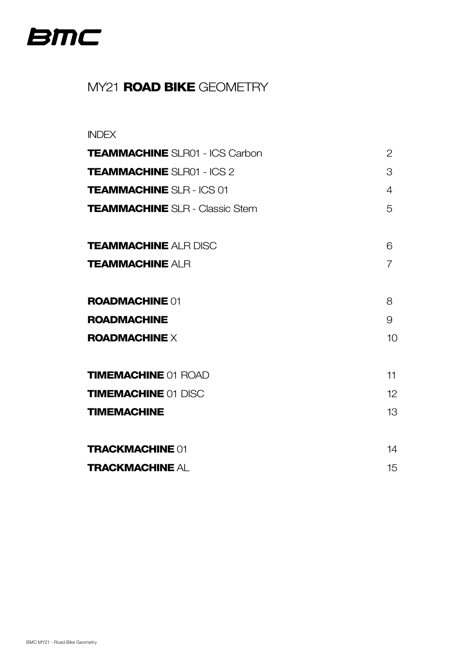<span id="page-0-0"></span>

# MY21 **ROAD BIKE** GEOMETRY

#### INDEX

| <b>TEAMMACHINE SLR01 - ICS Carbon</b> | 2               |
|---------------------------------------|-----------------|
| <b>TEAMMACHINE SLR01 - ICS 2</b>      | 3               |
| <b>TEAMMACHINE SLR - ICS 01</b>       | 4               |
| <b>TEAMMACHINE</b> SLR - Classic Stem | 5               |
| <b>TEAMMACHINE ALR DISC</b>           | 6               |
| <b>TEAMMACHINE ALR</b>                | $\overline{7}$  |
| <b>ROADMACHINE 01</b>                 | 8               |
| <b>ROADMACHINE</b>                    | 9               |
| $ROADMACHINE \times$                  | 10 <sup>1</sup> |
| <b>TIMEMACHINE 01 ROAD</b>            | 11              |
| <b>TIMEMACHINE 01 DISC</b>            | 12 <sup>°</sup> |
| <b>TIMEMACHINE</b>                    | 13              |
| <b>TRACKMACHINE 01</b>                | 14              |
| <b>TRACKMACHINE AL</b>                | 15              |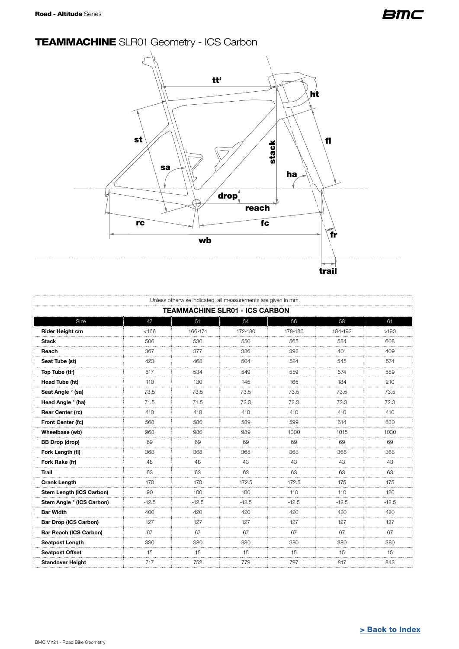# <span id="page-1-0"></span>TEAMMACHINE SLR01 Geometry - ICS Carbon



| Unless otherwise indicated, all measurements are given in mm. |                                       |         |         |         |         |         |  |  |  |
|---------------------------------------------------------------|---------------------------------------|---------|---------|---------|---------|---------|--|--|--|
|                                                               | <b>TEAMMACHINE SLR01 - ICS CARBON</b> |         |         |         |         |         |  |  |  |
| Size                                                          | 47                                    | 51      | 54      | 56      | 58      | 61      |  |  |  |
| Rider Height cm                                               | < 166                                 | 166-174 | 172-180 | 178-186 | 184-192 | >190    |  |  |  |
| <b>Stack</b>                                                  | 506                                   | 530     | 550     | 565     | 584     | 608     |  |  |  |
| Reach                                                         | 367                                   | 377     | 386     | 392     | 401     | 409     |  |  |  |
| Seat Tube (st)                                                | 423                                   | 468     | 504     | 524     | 545     | 574     |  |  |  |
| Top Tube (tt')                                                | 517                                   | 534     | 549     | 559     | 574     | 589     |  |  |  |
| Head Tube (ht)                                                | 110                                   | 130     | 145     | 165     | 184     | 210     |  |  |  |
| Seat Angle ° (sa)                                             | 73.5                                  | 73.5    | 73.5    | 73.5    | 73.5    | 73.5    |  |  |  |
| Head Angle ° (ha)                                             | 71.5                                  | 71.5    | 72.3    | 72.3    | 72.3    | 72.3    |  |  |  |
| Rear Center (rc)                                              | 410                                   | 410     | 410     | 410     | 410     | 410     |  |  |  |
| Front Center (fc)                                             | 568                                   | 586     | 589     | 599     | 614     | 630     |  |  |  |
| Wheelbase (wb)                                                | 968                                   | 986     | 989     | 1000    | 1015    | 1030    |  |  |  |
| <b>BB Drop (drop)</b>                                         | 69                                    | 69      | 69      | 69      | 69      | 69      |  |  |  |
| Fork Length (fl)                                              | 368                                   | 368     | 368     | 368     | 368     | 368     |  |  |  |
| Fork Rake (fr)                                                | 48                                    | 48      | 43      | 43      | 43      | 43      |  |  |  |
| <b>Trail</b>                                                  | 63                                    | 63      | 63      | 63      | 63      | 63      |  |  |  |
| <b>Crank Length</b>                                           | 170                                   | 170     | 172.5   | 172.5   | 175     | 175     |  |  |  |
| Stem Length (ICS Carbon)                                      | 90                                    | 100     | 100     | 110     | 110     | 120     |  |  |  |
| Stem Angle ° (ICS Carbon)                                     | $-12.5$                               | $-12.5$ | $-12.5$ | $-12.5$ | $-12.5$ | $-12.5$ |  |  |  |
| <b>Bar Width</b>                                              | 400                                   | 420     | 420     | 420     | 420     | 420     |  |  |  |
| <b>Bar Drop (ICS Carbon)</b>                                  | 127                                   | 127     | 127     | 127     | 127     | 127     |  |  |  |
| <b>Bar Reach (ICS Carbon)</b>                                 | 67                                    | 67      | 67      | 67      | 67      | 67      |  |  |  |
| <b>Seatpost Length</b>                                        | 330                                   | 380     | 380     | 380     | 380     | 380     |  |  |  |
| <b>Seatpost Offset</b>                                        | 15                                    | 15      | 15      | 15      | 15      | 15      |  |  |  |
| <b>Standover Height</b>                                       | 717                                   | 752     | 779     | 797     | 817     | 843     |  |  |  |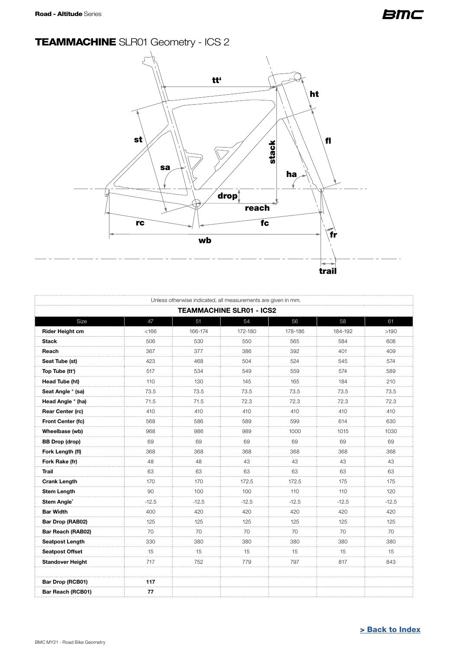# <span id="page-2-0"></span>TEAMMACHINE SLR01 Geometry - ICS 2



| Unless otherwise indicated, all measurements are given in mm. |                                 |         |           |         |         |           |  |  |  |  |
|---------------------------------------------------------------|---------------------------------|---------|-----------|---------|---------|-----------|--|--|--|--|
|                                                               | <b>TEAMMACHINE SLR01 - ICS2</b> |         |           |         |         |           |  |  |  |  |
| Size                                                          | 47                              | 51      | 54        | 56      | 58      | 61        |  |  |  |  |
| <b>Rider Height cm</b>                                        | < 166                           | 166-174 | 172-180   | 178-186 | 184-192 | >190      |  |  |  |  |
| <b>Stack</b>                                                  | 506                             | 530     | 550       | 565     | 584     | 608       |  |  |  |  |
| Reach                                                         | 367                             | 377     | 386       | 392     | 401     | 409       |  |  |  |  |
| Seat Tube (st)                                                | 423                             | 468     | 504       | 524     | 545     | 574       |  |  |  |  |
| Top Tube (tt')                                                | 517                             | 534     | 549       | 559     | 574     | 589       |  |  |  |  |
| Head Tube (ht)                                                | 110                             | 130     | 145       | 165     | 184     | 210       |  |  |  |  |
| Seat Angle ° (sa)                                             | 73.5                            | 73.5    | 73.5<br>. | 73.5    | 73.5    | 73.5<br>. |  |  |  |  |
| Head Angle ° (ha)                                             | 71.5                            | 71.5    | 72.3      | 72.3    | 72.3    | 72.3      |  |  |  |  |
| Rear Center (rc)                                              | 410                             | 410     | 410       | 410     | 410     | 410       |  |  |  |  |
| Front Center (fc)                                             | 568                             | 586     | 589       | 599     | 614     | 630       |  |  |  |  |
| Wheelbase (wb)                                                | 968                             | 986     | 989       | 1000    | 1015    | 1030      |  |  |  |  |
| <b>BB Drop (drop)</b>                                         | 69                              | 69      | 69        | 69      | 69      | 69        |  |  |  |  |
| Fork Length (fl)                                              | 368                             | 368     | 368       | 368     | 368     | 368       |  |  |  |  |
| Fork Rake (fr)                                                | 48                              | 48      | 43        | 43      | 43      | 43<br>.   |  |  |  |  |
| Trail                                                         | 63                              | 63      | 63        | 63      | 63      | 63        |  |  |  |  |
| <b>Crank Length</b>                                           | 170                             | 170     | 172.5     | 172.5   | 175     | 175<br>.  |  |  |  |  |
| <b>Stem Length</b>                                            | 90                              | 100     | 100       | 110     | 110     | 120       |  |  |  |  |
| Stem Angle®                                                   | $-12.5$                         | $-12.5$ | $-12.5$   | $-12.5$ | $-12.5$ | $-12.5$   |  |  |  |  |
| <b>Bar Width</b>                                              | 400                             | 420     | 420       | 420     | 420     | 420       |  |  |  |  |
| Bar Drop (RAB02)                                              | 125                             | 125     | 125       | 125     | 125     | 125       |  |  |  |  |
| Bar Reach (RAB02)                                             | 70                              | 70      | 70        | 70      | 70      | 70        |  |  |  |  |
| <b>Seatpost Length</b>                                        | 330                             | 380     | 380       | 380     | 380     | 380       |  |  |  |  |
| <b>Seatpost Offset</b>                                        | 15                              | 15      | 15        | 15      | 15      | 15<br>.   |  |  |  |  |
| <b>Standover Height</b>                                       | 717                             | 752     | 779       | 797     | 817     | 843       |  |  |  |  |
| Bar Drop (RCB01)                                              | 117                             |         |           |         |         |           |  |  |  |  |
| Bar Reach (RCB01)                                             | 77                              |         |           |         |         |           |  |  |  |  |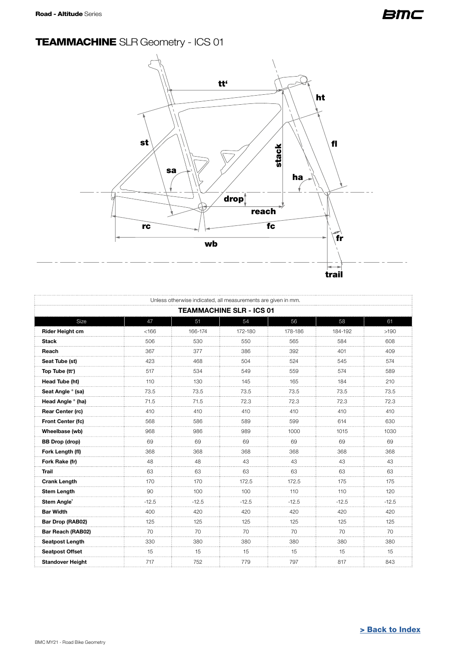# <span id="page-3-0"></span>TEAMMACHINE SLR Geometry - ICS 01



|                                 | Unless otherwise indicated, all measurements are given in mm. |          |           |         |         |           |  |  |
|---------------------------------|---------------------------------------------------------------|----------|-----------|---------|---------|-----------|--|--|
| <b>TEAMMACHINE SLR - ICS 01</b> |                                                               |          |           |         |         |           |  |  |
| Size                            | 47                                                            | 51       | 54        | 56      | 58      | 61        |  |  |
| <b>Rider Height cm</b>          | < 166                                                         | 166-174  | 172-180   | 178-186 | 184-192 | >190      |  |  |
| <b>Stack</b>                    | 506                                                           | 530      | 550       | 565     | 584     | 608       |  |  |
| Reach                           | 367                                                           | 377      | 386       | 392     | 401     | 409       |  |  |
| Seat Tube (st)                  | 423                                                           | 468      | 504       | 524     | 545     | 574       |  |  |
| Top Tube (tt')                  | 517                                                           | 534      | 549       | 559     | 574     | 589       |  |  |
| Head Tube (ht)                  | 110                                                           | 130      | 145       | 165     | 184     | 210       |  |  |
| Seat Angle ° (sa)               | 73.5                                                          | 73.5     | 73.5<br>. | 73.5    | 73.5    | 73.5<br>. |  |  |
| Head Angle ° (ha)               | 71.5                                                          | 71.5     | 72.3      | 72.3    | 72.3    | 72.3      |  |  |
| Rear Center (rc)                | 410                                                           | 410      | 410       | 410     | 410     | 410       |  |  |
| Front Center (fc)               | 568                                                           | 586      | 589       | 599     | 614     | 630       |  |  |
| Wheelbase (wb)                  | 968                                                           | 986      | 989       | 1000    | 1015    | 1030      |  |  |
| <b>BB Drop (drop)</b>           | 69                                                            | 69       | 69        | 69      | 69      | 69        |  |  |
| Fork Length (fl)                | 368                                                           | 368      | 368       | 368     | 368     | 368       |  |  |
| Fork Rake (fr)                  | 48                                                            | 48       | 43        | 43<br>. | 43      | 43<br>.   |  |  |
| <b>Trail</b>                    | 63                                                            | 63       | 63        | 63      | 63      | 63        |  |  |
| <b>Crank Length</b>             | 170                                                           | 170      | 172.5     | 172.5   | 175     | 175       |  |  |
| <b>Stem Length</b>              | 90                                                            | 100      | 100       | 110     | 110     | 120       |  |  |
| Stem Angle®                     | $-12.5$                                                       | $-12.5$  | $-12.5$   | $-12.5$ | $-12.5$ | $-12.5$   |  |  |
| <b>Bar Width</b>                | 400                                                           | 420      | 420       | 420     | 420     | 420<br>.  |  |  |
| Bar Drop (RAB02)                | 125                                                           | 125      | 125       | 125     | 125     | 125       |  |  |
| Bar Reach (RAB02)               | 70                                                            | 70       | 70        | 70      | 70      | 70        |  |  |
| <b>Seatpost Length</b>          | 330                                                           | 380<br>. | 380       | 380     | 380     | 380<br>.  |  |  |
| <b>Seatpost Offset</b>          | 15                                                            | 15       | 15        | 15      | 15      | 15        |  |  |
| <b>Standover Height</b>         | 717                                                           | 752      | 779       | 797     | 817     | 843       |  |  |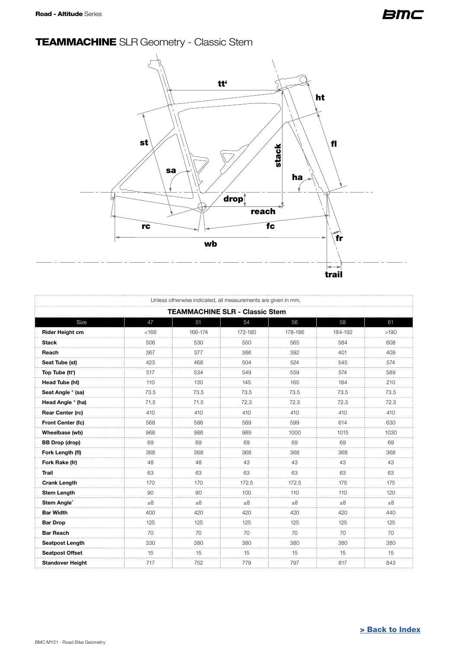# <span id="page-4-0"></span>TEAMMACHINE SLR Geometry - Classic Stem



| Unless otherwise indicated, all measurements are given in mm. |         |          |         |          |         |      |  |  |
|---------------------------------------------------------------|---------|----------|---------|----------|---------|------|--|--|
| <b>TEAMMACHINE SLR - Classic Stem</b>                         |         |          |         |          |         |      |  |  |
| Size                                                          | 47      | 51       | 54      | 56       | 58      | 61   |  |  |
| <b>Rider Height cm</b>                                        | < 166   | 166-174  | 172-180 | 178-186  | 184-192 | >190 |  |  |
| Stack                                                         | 506     | 530      | 550     | 565      | 584     | 608  |  |  |
| Reach                                                         | 367     | 377      | 386     | 392      | 401     | 409  |  |  |
| Seat Tube (st)                                                | 423     | 468      | 504     | 524      | 545     | 574  |  |  |
| Top Tube (tt')                                                | 517     | 534      | 549     | 559      | 574     | 589  |  |  |
| Head Tube (ht)                                                | 110     | 130      | 145     | 165      | 184     | 210  |  |  |
| Seat Angle ° (sa)                                             | 73.5    | 73.5     | 73.5    | 73.5     | 73.5    | 73.5 |  |  |
| Head Angle ° (ha)                                             | 71.5    | 71.5     | 72.3    | 72.3     | 72.3    | 72.3 |  |  |
| <b>Rear Center (rc)</b>                                       | 410     | 410      | 410     | 410      | 410     | 410  |  |  |
| Front Center (fc)                                             | 568     | 586      | 589     | 599      | 614     | 630  |  |  |
| Wheelbase (wb)                                                | 968     | 986      | 989     | 1000     | 1015    | 1030 |  |  |
| <b>BB Drop (drop)</b>                                         | 69      | 69       | 69      | 69       | 69      | 69   |  |  |
| Fork Length (fl)                                              | 368     | 368      | 368     | 368      | 368     | 368  |  |  |
| Fork Rake (fr)                                                | 48      | 48       | 43      | 43       | 43      | 43   |  |  |
| <b>Trail</b>                                                  | 63      | 63       | 63      | 63       | 63      | 63   |  |  |
| <b>Crank Length</b>                                           | 170     | 170      | 172.5   | 172.5    | 175     | 175  |  |  |
| <b>Stem Length</b>                                            | 90      | 90       | 100     | 110      | 110     | 120  |  |  |
| Stem Angle®                                                   | $\pm 8$ | $\pm 8$  | $+8$    | ±8       | $\pm 8$ | ±8   |  |  |
| <b>Bar Width</b><br>.                                         | 400     | 420<br>. | 420     | 420<br>. | 420     | 440  |  |  |
| <b>Bar Drop</b>                                               | 125     | 125      | 125     | 125      | 125     | 125  |  |  |
| <b>Bar Reach</b>                                              | 70      | 70       | 70      | 70       | 70      | 70   |  |  |
| Seatpost Length                                               | 330     | 380      | 380     | 380      | 380     | 380  |  |  |
| <b>Seatpost Offset</b>                                        | 15      | 15       | 15      | 15       | 15      | 15   |  |  |
| <b>Standover Height</b>                                       | 717     | 752      | 779     | 797      | 817     | 843  |  |  |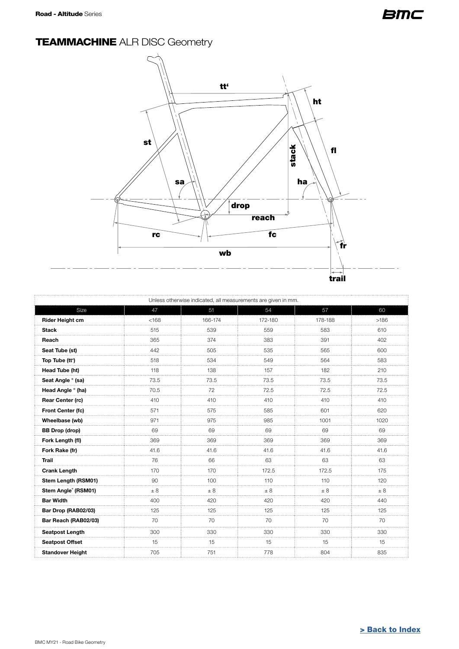# <span id="page-5-0"></span>**TEAMMACHINE ALR DISC Geometry**



| Unless otherwise indicated, all measurements are given in mm. |          |         |         |            |          |  |  |  |
|---------------------------------------------------------------|----------|---------|---------|------------|----------|--|--|--|
| Size                                                          | 47       | 51      | 54      | 57         | 60       |  |  |  |
| Rider Height cm                                               | < 168    | 166-174 | 172-180 | 178-188    | >186     |  |  |  |
| <b>Stack</b>                                                  | 515      | 539     | 559     | 583        | 610      |  |  |  |
| Reach                                                         | 365      | 374     | 383     | 391        | 402      |  |  |  |
| Seat Tube (st)                                                | 442      | 505     | 535     | 565        | 600      |  |  |  |
| Top Tube (tt')                                                | 518      | 534     | 549     | 564        | 583      |  |  |  |
| Head Tube (ht)                                                | 118      | 138     | 157     | 182        | 210      |  |  |  |
| Seat Angle ° (sa)                                             | 73.5     | 73.5    | 73.5    | 73.5       | 73.5     |  |  |  |
| Head Angle ° (ha)                                             | 70.5     | 72      | 72.5    | 72.5       | 72.5     |  |  |  |
| Rear Center (rc)                                              | 410      | 410     | 410     | 410        | 410      |  |  |  |
| Front Center (fc)                                             | 571      | 575     | 585     | 601        | 620      |  |  |  |
| Wheelbase (wb)                                                | 971      | 975     | 985     | 1001       | 1020     |  |  |  |
| <b>BB Drop (drop)</b>                                         | 69       | 69      | 69      | 69         | 69       |  |  |  |
| Fork Length (fl)                                              | 369      | 369     | 369     | 369        | 369      |  |  |  |
| Fork Rake (fr)                                                | 41.6     | 41.6    | 41.6    | 41.6       | 41.6     |  |  |  |
| <b>Trail</b>                                                  | 76       | 66      | 63      | 63         | 63       |  |  |  |
| <b>Crank Length</b>                                           | 170<br>. | 170     | 172.5   | 172.5<br>. | 175<br>. |  |  |  |
| Stem Length (RSM01)                                           | 90       | 100     | 110     | 110        | 120      |  |  |  |
| Stem Angle® (RSM01)                                           | $\pm 8$  | ± 8     | ± 8     | ± 8        | $\pm 8$  |  |  |  |
| <b>Bar Width</b>                                              | 400      | 420     | 420     | 420        | 440      |  |  |  |
| Bar Drop (RAB02/03)                                           | 125      | 125     | 125     | 125        | 125      |  |  |  |
| Bar Reach (RAB02/03)                                          | 70       | 70      | 70      | 70         | 70       |  |  |  |
| <b>Seatpost Length</b>                                        | 300      | 330     | 330     | 330        | 330      |  |  |  |
| <b>Seatpost Offset</b>                                        | 15       | 15      | 15      | 15         | 15       |  |  |  |
| <b>Standover Height</b>                                       | 705      | 751     | 778     | 804        | 835      |  |  |  |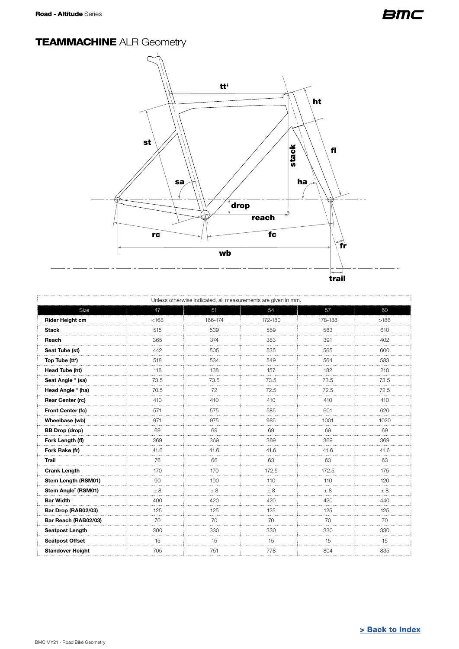# <span id="page-6-0"></span>**TEAMMACHINE ALR Geometry**



| Unless otherwise indicated, all measurements are given in mm. |          |          |          |          |          |  |  |  |
|---------------------------------------------------------------|----------|----------|----------|----------|----------|--|--|--|
| Size                                                          | 47       | 51       | 54       | 57       | 60       |  |  |  |
| Rider Height cm                                               | < 168    | 166-174  | 172-180  | 178-188  | >186     |  |  |  |
| <b>Stack</b>                                                  | 515      | 539      | 559      | 583      | 610      |  |  |  |
| Reach                                                         | 365      | 374      | 383      | 391      | 402      |  |  |  |
| Seat Tube (st)                                                | 442      | 505      | 535      | 565      | 600      |  |  |  |
| Top Tube (tt')                                                | 518      | 534      | 549      | 564      | 583      |  |  |  |
| Head Tube (ht)                                                | 118      | 138      | 157      | 182      | 210      |  |  |  |
| Seat Angle ° (sa)                                             | 73.5     | 73.5     | 73.5     | 73.5     | 73.5     |  |  |  |
| Head Angle ° (ha)                                             | 70.5     | 72       | 72.5     | 72.5     | 72.5     |  |  |  |
| Rear Center (rc)                                              | 410      | 410      | 410      | 410      | 410      |  |  |  |
| Front Center (fc)                                             | 571      | 575      | 585      | 601      | 620      |  |  |  |
| Wheelbase (wb)                                                | 971      | 975      | 985      | 1001     | 1020     |  |  |  |
| <b>BB Drop (drop)</b>                                         | 69       | 69       | 69       | 69       | 69       |  |  |  |
| Fork Length (fl)                                              | 369      | 369      | 369      | 369      | 369      |  |  |  |
| Fork Rake (fr)                                                | 41.6     | 41.6     | 41.6     | 41.6     | 41.6     |  |  |  |
| <b>Trail</b>                                                  | 76       | 66       | 63       | 63       | 63       |  |  |  |
| <b>Crank Length</b>                                           | 170      | 170      | 172.5    | 172.5    | 175      |  |  |  |
| Stem Length (RSM01)                                           | 90       | 100      | 110      | 110      | 120      |  |  |  |
| Stem Angle® (RSM01)                                           | $\pm$ 8  | ± 8      | $\pm 8$  | ± 8      | ± 8      |  |  |  |
| <b>Bar Width</b>                                              | 400      | 420      | 420      | 420      | 440      |  |  |  |
| Bar Drop (RAB02/03)                                           | 125<br>. | 125<br>. | 125<br>. | 125<br>. | 125<br>. |  |  |  |
| Bar Reach (RAB02/03)                                          | 70       | 70       | 70       | 70       | 70       |  |  |  |
| <b>Seatpost Length</b>                                        | 300      | 330      | 330      | 330      | 330      |  |  |  |
| <b>Seatpost Offset</b>                                        | 15       | 15       | 15       | 15       | 15       |  |  |  |
| <b>Standover Height</b>                                       | 705      | 751      | 778      | 804      | 835      |  |  |  |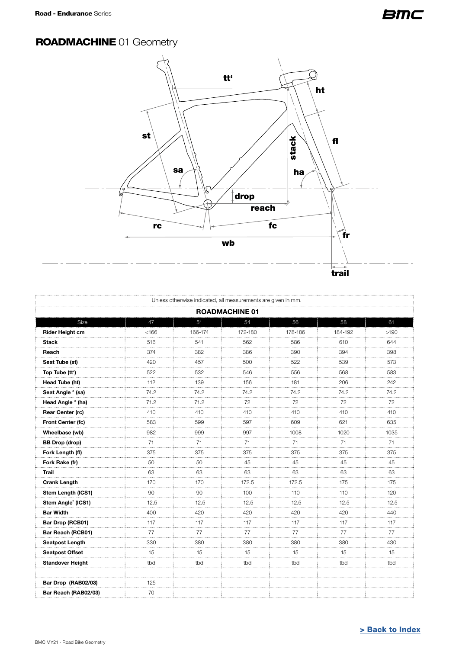### <span id="page-7-0"></span>ROADMACHINE 01 Geometry



| Unless otherwise indicated, all measurements are given in mm. |         |                |                       |               |         |          |  |
|---------------------------------------------------------------|---------|----------------|-----------------------|---------------|---------|----------|--|
|                                                               |         |                | <b>ROADMACHINE 01</b> |               |         |          |  |
| Size                                                          | 47      | 51             | 54                    | 56            | 58      | 61       |  |
| Rider Height cm                                               | < 166   | 166-174        | 172-180               | 178-186       | 184-192 | >190     |  |
| <b>Stack</b>                                                  | 516     | 541            | 562                   | 586           | 610     | 644      |  |
| Reach                                                         | 374     | 382            | 386                   | 390           | 394     | 398      |  |
| Seat Tube (st)                                                | 420     | 457<br>.       | 500                   | 522<br>.      | 539     | 573<br>. |  |
| Top Tube (tt')                                                | 522     | 532            | 546                   | 556           | 568     | 583      |  |
| Head Tube (ht)                                                | 112     | 139            | 156                   | 181           | 206     | 242      |  |
| Seat Angle ° (sa)                                             | 74.2    | 74.2           | 74.2                  | 74.2          | 74.2    | 74.2     |  |
| Head Angle ° (ha)                                             | 71.2    | 71.2           | 72                    | 72<br>1.1.1.1 | 72      | 72       |  |
| Rear Center (rc)                                              | 410     | 410            | 410                   | 410           | 410     | 410      |  |
| Front Center (fc)                                             | 583     | 599            | 597                   | 609           | 621     | 635      |  |
| Wheelbase (wb)                                                | 982     | 999            | 997                   | 1008          | 1020    | 1035     |  |
| <b>BB Drop (drop)</b>                                         | 71      | 71             | 71                    | 71            | 71      | 71       |  |
| Fork Length (fl)                                              | 375     | 375<br>1.1.1.1 | 375                   | 375<br>.      | 375     | 375      |  |
| Fork Rake (fr)                                                | 50      | 50             | 45                    | 45            | 45      | 45       |  |
| <b>Trail</b>                                                  | 63      | 63             | 63                    | 63            | 63      | 63       |  |
| <b>Crank Length</b>                                           | 170     | 170            | 172.5                 | 172.5         | 175     | 175      |  |
| Stem Length (ICS1)                                            | 90      | 90             | 100                   | 110           | 110     | 120      |  |
| Stem Angle® (ICS1)                                            | $-12.5$ | $-12.5$        | $-12.5$               | $-12.5$       | $-12.5$ | $-12.5$  |  |
| <b>Bar Width</b>                                              | 400     | 420            | 420                   | 420           | 420     | 440      |  |
| Bar Drop (RCB01)                                              | 117     | 117<br>1.1.1.1 | 117<br>.              | 117<br>.      | 117     | 117<br>. |  |
| Bar Reach (RCB01)                                             | 77      | 77             | 77                    | 77            | 77      | 77       |  |
| Seatpost Length                                               | 330     | 380            | 380                   | 380           | 380     | 430      |  |
| <b>Seatpost Offset</b>                                        | 15      | 15             | 15                    | 15            | 15      | 15       |  |
| Standover Height                                              | tbd     | tbd            | tbd                   | tbd           | tbd     | tbd      |  |
|                                                               |         |                |                       |               |         |          |  |
| Bar Drop (RAB02/03)                                           | 125     |                |                       |               |         |          |  |
| Bar Reach (RAB02/03)                                          | 70      |                |                       |               |         |          |  |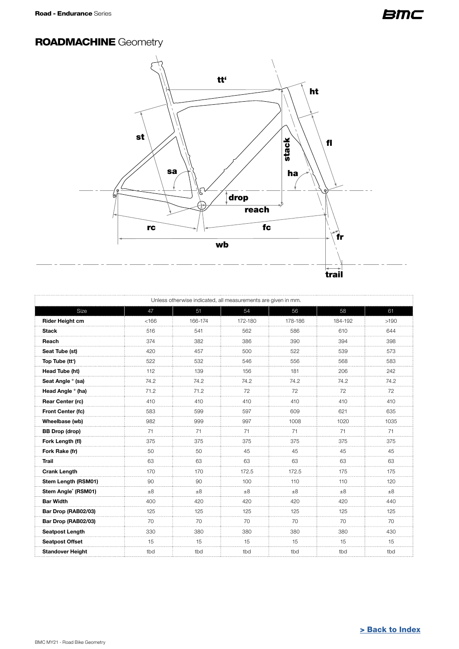### <span id="page-8-0"></span>**ROADMACHINE Geometry**



| Unless otherwise indicated, all measurements are given in mm. |         |                |         |         |         |               |  |
|---------------------------------------------------------------|---------|----------------|---------|---------|---------|---------------|--|
| Size                                                          | 47      | 51             | 54      | 56      | 58      | 61            |  |
| Rider Height cm                                               | < 166   | 166-174        | 172-180 | 178-186 | 184-192 | >190          |  |
| <b>Stack</b>                                                  | 516     | 541            | 562     | 586     | 610     | 644           |  |
| Reach                                                         | 374     | 382            | 386     | 390     | 394     | 398           |  |
| Seat Tube (st)                                                | 420     | 457            | 500     | 522     | 539     | 573           |  |
| Top Tube (tt')                                                | 522     | 532            | 546     | 556     | 568     | 583           |  |
| Head Tube (ht)                                                | 112     | 139            | 156     | 181     | 206     | 242           |  |
| Seat Angle ° (sa)                                             | 74.2    | 74.2           | 74.2    | 74.2    | 74.2    | 74.2          |  |
| Head Angle ° (ha)                                             | 71.2    | 71.2           | 72<br>. | 72<br>. | 72<br>. | 72<br>.       |  |
| Rear Center (rc)                                              | 410     | 410            | 410     | 410     | 410     | 410           |  |
| Front Center (fc)                                             | 583     | 599            | 597     | 609     | 621     | 635           |  |
| Wheelbase (wb)                                                | 982     | 999            | 997     | 1008    | 1020    | 1035          |  |
| <b>BB Drop (drop)</b>                                         | 71      | 71             | 71      | 71      | 71      | 71            |  |
| Fork Length (fl)                                              | 375     | 375            | 375     | 375     | 375     | 375           |  |
| Fork Rake (fr)                                                | 50      | 50             | 45      | 45      | 45      | 45            |  |
| <b>Trail</b>                                                  | 63      | 63             | 63      | 63      | 63      | 63            |  |
| <b>Crank Length</b>                                           | 170     | 170            | 172.5   | 172.5   | 175     | 175           |  |
| Stem Length (RSM01)                                           | 90      | 90             | 100     | 110     | 110     | 120           |  |
| Stem Angle® (RSM01)                                           | $\pm 8$ | $\pm 8$        | ±8      | ±8      | ±8      | ±8            |  |
| <b>Bar Width</b>                                              | 400     | 420            | 420     | 420     | 420     | 440           |  |
| Bar Drop (RAB02/03)                                           | 125     | 125            | 125     | 125     | 125     | 125<br>$\sim$ |  |
| Bar Drop (RAB02/03)                                           | 70      | 70<br>$\cdots$ | 70      | 70      | 70      | 70            |  |
| <b>Seatpost Length</b>                                        | 330     | 380            | 380     | 380     | 380     | 430           |  |
| <b>Seatpost Offset</b>                                        | 15      | 15             | 15      | 15      | 15      | 15            |  |
| <b>Standover Height</b>                                       | tbd     | tbd            | tbd     | tbd     | tbd     | tbd           |  |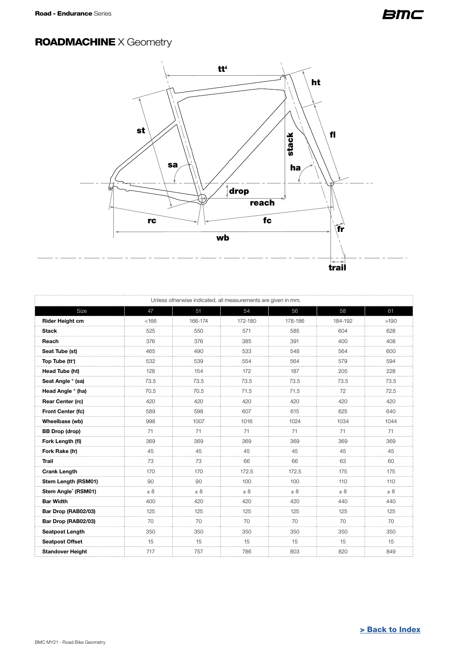## <span id="page-9-0"></span>ROADMACHINE X Geometry



|                         |       | Unless otherwise indicated, all measurements are given in mm. |         |         |         |         |
|-------------------------|-------|---------------------------------------------------------------|---------|---------|---------|---------|
| Size                    | 47    | 51                                                            | 54      | 56      | 58      | 61      |
| <b>Rider Height cm</b>  | < 166 | 166-174                                                       | 172-180 | 178-186 | 184-192 | >190    |
| <b>Stack</b>            | 525   | 550                                                           | 571     | 585     | 604     | 628     |
| Reach                   | 376   | 376                                                           | 385     | 391     | 400     | 408     |
| Seat Tube (st)          | 465   | 490                                                           | 533     | 548     | 564     | 600     |
| Top Tube (tt')          | 532   | 539                                                           | 554     | 564     | 579     | 594     |
| Head Tube (ht)          | 128   | 154                                                           | 172     | 187     | 205     | 228     |
| Seat Angle ° (sa)       | 73.5  | 73.5                                                          | 73.5    | 73.5    | 73.5    | 73.5    |
| Head Angle ° (ha)       | 70.5  | 70.5                                                          | 71.5    | 71.5    | 72      | 72.5    |
| <b>Rear Center (rc)</b> | 420   | 420                                                           | 420     | 420     | 420     | 420     |
| Front Center (fc)       | 589   | 598                                                           | 607     | 615     | 625     | 640     |
| Wheelbase (wb)          | 998   | 1007                                                          | 1016    | 1024    | 1034    | 1044    |
| <b>BB Drop (drop)</b>   | 71    | 71                                                            | 71      | 71      | 71      | 71      |
| Fork Length (fl)        | 369   | 369                                                           | 369     | 369     | 369     | 369     |
| Fork Rake (fr)          | 45    | 45                                                            | 45      | 45      | 45      | 45      |
| <b>Trail</b>            | 73    | 73                                                            | 66      | 66      | 63      | 60      |
| <b>Crank Length</b>     | 170   | 170                                                           | 172.5   | 172.5   | 175     | 175     |
| Stem Length (RSM01)     | 90    | 90                                                            | 100     | 100     | 110     | 110     |
| Stem Angle® (RSM01)     | ± 8   | $\pm 8$                                                       | $\pm 8$ | $\pm$ 8 | $\pm 8$ | $\pm 8$ |
| <b>Bar Width</b>        | 400   | 420                                                           | 420     | 420     | 440     | 440     |
| Bar Drop (RAB02/03)     | 125   | 125                                                           | 125     | 125     | 125     | 125     |
| Bar Drop (RAB02/03)     | 70    | 70                                                            | 70      | 70      | 70      | 70      |
| Seatpost Length         | 350   | 350                                                           | 350     | 350     | 350     | 350     |
| <b>Seatpost Offset</b>  | 15    | 15                                                            | 15      | 15      | 15      | 15      |
| <b>Standover Height</b> | 717   | 757                                                           | 786     | 803     | 820     | 849     |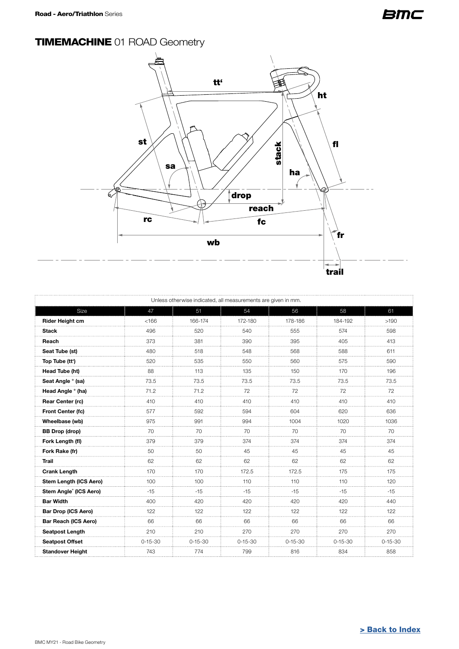# <span id="page-10-0"></span>**TIMEMACHINE 01 ROAD Geometry**



| Unless otherwise indicated, all measurements are given in mm. |               |               |               |               |               |               |  |
|---------------------------------------------------------------|---------------|---------------|---------------|---------------|---------------|---------------|--|
| Size                                                          | 47            | 51            | 54            | 56            | 58            | 61            |  |
| <b>Rider Height cm</b>                                        | < 166         | 166-174       | 172-180       | 178-186       | 184-192       | >190          |  |
| <b>Stack</b>                                                  | 496           | 520           | 540           | 555           | 574           | 598           |  |
| Reach                                                         | 373           | 381           | 390           | 395           | 405           | 413           |  |
| Seat Tube (st)                                                | 480           | 518           | 548           | 568           | 588           | 611           |  |
| Top Tube (tt')                                                | 520           | 535           | 550           | 560           | 575           | 590           |  |
| Head Tube (ht)                                                | 88            | 113           | 135           | 150           | 170           | 196           |  |
| Seat Angle ° (sa)                                             | 73.5          | 73.5          | 73.5          | 73.5          | 73.5          | 73.5          |  |
| Head Angle ° (ha)                                             | 71.2          | 71.2          | 72<br>.       | 72            | 72            | 72            |  |
| Rear Center (rc)                                              | 410           | 410           | 410           | 410           | 410           | 410           |  |
| Front Center (fc)                                             | 577           | 592           | 594           | 604           | 620           | 636           |  |
| Wheelbase (wb)                                                | 975           | 991           | 994           | 1004          | 1020          | 1036          |  |
| <b>BB Drop (drop)</b>                                         | 70            | 70            | 70            | 70            | 70            | 70            |  |
| Fork Length (fl)                                              | 379           | 379           | 374           | 374           | 374           | 374           |  |
| Fork Rake (fr)                                                | 50            | 50            | 45            | 45            | 45            | 45            |  |
| <b>Trail</b>                                                  | 62            | 62            | 62            | 62            | 62            | 62            |  |
| <b>Crank Length</b>                                           | 170           | 170           | 172.5         | 172.5         | 175           | 175           |  |
| Stem Length (ICS Aero)                                        | 100           | 100           | 110           | 110           | 110           | 120           |  |
| Stem Angle <sup>®</sup> (ICS Aero)                            | $-15$         | $-15$         | $-15$         | $-15$         | $-15$         | $-15$         |  |
| <b>Bar Width</b>                                              | 400           | 420           | 420           | 420           | 420           | 440           |  |
| <b>Bar Drop (ICS Aero)</b>                                    | 122           | 122           | 122           | 122           | 122           | 122           |  |
| Bar Reach (ICS Aero)                                          | 66            | 66            | 66            | 66            | 66            | 66            |  |
| <b>Seatpost Length</b>                                        | 210           | 210           | 270           | 270           | 270           | 270           |  |
| <b>Seatpost Offset</b>                                        | $0 - 15 - 30$ | $0 - 15 - 30$ | $0 - 15 - 30$ | $0 - 15 - 30$ | $0 - 15 - 30$ | $0 - 15 - 30$ |  |
| <b>Standover Height</b>                                       | 743           | 774           | 799           | 816           | 834           | 858           |  |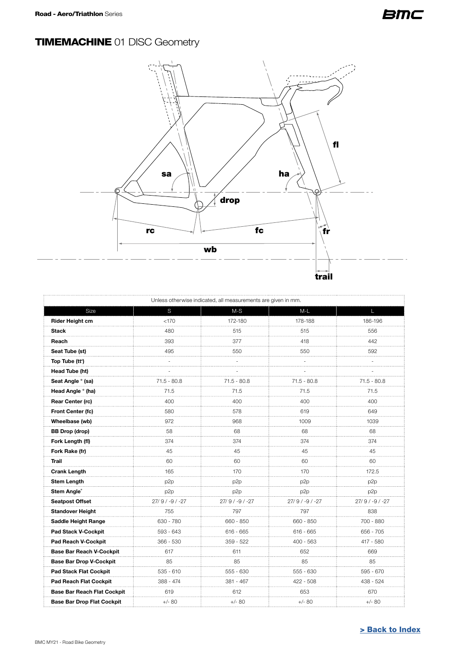# <span id="page-11-0"></span>**TIMEMACHINE 01 DISC Geometry**



| Unless otherwise indicated, all measurements are given in mm. |                    |                 |                 |                    |  |  |  |  |  |
|---------------------------------------------------------------|--------------------|-----------------|-----------------|--------------------|--|--|--|--|--|
| Size                                                          | S                  | $M-S$           | $M-L$           | п                  |  |  |  |  |  |
| Rider Height cm                                               | < 170              | 172-180         | 178-188         | 186-196            |  |  |  |  |  |
| <b>Stack</b>                                                  | 480                | 515             | 515             | 556                |  |  |  |  |  |
| Reach                                                         | 393                | 377             | 418             | 442                |  |  |  |  |  |
| Seat Tube (st)                                                | 495                | 550             | 550             | 592<br>.           |  |  |  |  |  |
| Top Tube (tt')                                                |                    |                 |                 |                    |  |  |  |  |  |
| Head Tube (ht)                                                |                    |                 |                 |                    |  |  |  |  |  |
| Seat Angle ° (sa)                                             | $71.5 - 80.8$<br>. | $71.5 - 80.8$   | $71.5 - 80.8$   | $71.5 - 80.8$<br>. |  |  |  |  |  |
| Head Angle ° (ha)                                             | 71.5               | 71.5            | 71.5            | 71.5               |  |  |  |  |  |
| Rear Center (rc)                                              | 400                | 400             | 400             | 400<br>.           |  |  |  |  |  |
| Front Center (fc)                                             | 580                | 578             | 619             | 649                |  |  |  |  |  |
| Wheelbase (wb)                                                | 972                | 968             | 1009            | 1039               |  |  |  |  |  |
| <b>BB Drop (drop)</b>                                         | 58<br>.            | 68<br>.         | 68<br>.         | 68<br>.            |  |  |  |  |  |
| Fork Length (fl)                                              | 374                | 374             | 374             | 374                |  |  |  |  |  |
| Fork Rake (fr)                                                | 45<br>.            | 45<br>.         | 45              | 45<br>.            |  |  |  |  |  |
| Trail                                                         | 60                 | 60              | 60              | 60                 |  |  |  |  |  |
| <b>Crank Length</b>                                           | 165                | 170             | 170             | 172.5              |  |  |  |  |  |
| <b>Stem Length</b>                                            | p <sub>2p</sub>    | p2p             | p <sub>2p</sub> | p <sub>2p</sub>    |  |  |  |  |  |
| Stem Angle®                                                   | p <sub>2p</sub>    | p <sub>2p</sub> | p <sub>2p</sub> | p <sub>2p</sub>    |  |  |  |  |  |
| Seatpost Offset                                               | $27/9/ -9/ -27$    | $27/9/ -9/ -27$ | $27/9/ -9/ -27$ | 27/9/-9/-27        |  |  |  |  |  |
| <b>Standover Height</b>                                       | 755                | 797             | 797             | 838                |  |  |  |  |  |
| Saddle Height Range                                           | 630 - 780          | 660 - 850       | 660 - 850       | 700 - 880          |  |  |  |  |  |
| Pad Stack V-Cockpit                                           | 593 - 643          | $616 - 665$     | $616 - 665$     | 656 - 705          |  |  |  |  |  |
| Pad Reach V-Cockpit                                           | $366 - 530$        | 359 - 522       | $400 - 563$     | 417 - 580          |  |  |  |  |  |
| Base Bar Reach V-Cockpit                                      | 617                | 611             | 652<br>.        | 669<br>.           |  |  |  |  |  |
| <b>Base Bar Drop V-Cockpit</b>                                | 85                 | 85              | 85              | 85                 |  |  |  |  |  |
| <b>Pad Stack Flat Cockpit</b>                                 | $535 - 610$        | 555 - 630       | 555 - 630       | 595 - 670          |  |  |  |  |  |
| <b>Pad Reach Flat Cockpit</b>                                 | 388 - 474          | 381 - 467       | 422 - 508       | 438 - 524          |  |  |  |  |  |
| <b>Base Bar Reach Flat Cockpit</b>                            | 619                | 612             | 653             | 670                |  |  |  |  |  |
| <b>Base Bar Drop Flat Cockpit</b>                             | $+/-$ 80           | $+/- 80$        | $+/- 80$        | $+/- 80$           |  |  |  |  |  |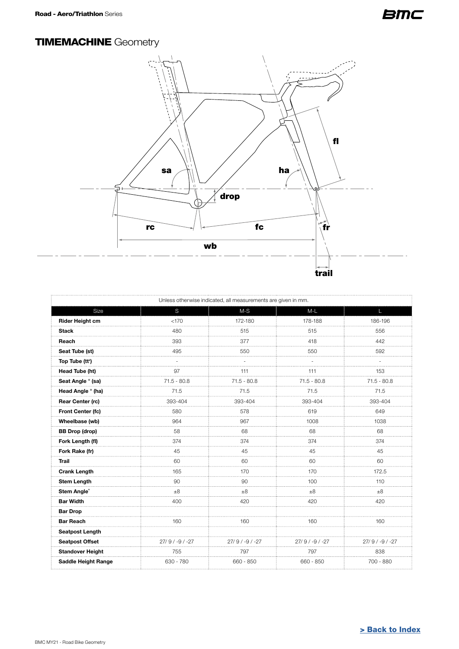### <span id="page-12-0"></span>**TIMEMACHINE Geometry**



| Unless otherwise indicated, all measurements are given in mm. |                   |               |                 |                   |  |  |  |
|---------------------------------------------------------------|-------------------|---------------|-----------------|-------------------|--|--|--|
| Size                                                          | S                 | $M-S$         | $M-L$           |                   |  |  |  |
| <b>Rider Height cm</b>                                        | < 170             | 172-180       | 178-188         | 186-196           |  |  |  |
| <b>Stack</b>                                                  | 480               | 515           | 515             | 556               |  |  |  |
| Reach                                                         | 393               | 377           | 418             | 442               |  |  |  |
| Seat Tube (st)                                                | 495               | 550           | 550             | 592               |  |  |  |
| Top Tube (tt')                                                |                   |               |                 |                   |  |  |  |
| Head Tube (ht)                                                | 97<br>.           | 111<br>.      | 111<br>.        | 153               |  |  |  |
| Seat Angle ° (sa)                                             | $71.5 - 80.8$     | $71.5 - 80.8$ | $71.5 - 80.8$   | $71.5 - 80.8$     |  |  |  |
| Head Angle ° (ha)                                             | 71.5              | 71.5          | 71.5            | 71.5              |  |  |  |
| Rear Center (rc)                                              | 393-404           | 393-404       | 393-404         | 393-404           |  |  |  |
| Front Center (fc)                                             | 580               | 578           | 619             | 649               |  |  |  |
| Wheelbase (wb)                                                | 964               | 967           | 1008            | 1038              |  |  |  |
| <b>BB Drop (drop)</b>                                         | 58                | 68            | 68              | 68                |  |  |  |
| Fork Length (fl)                                              | 374<br>.          | 374           | 374             | 374               |  |  |  |
| Fork Rake (fr)                                                | 45<br>and a       | 45<br>.       | 45              | 45<br>.           |  |  |  |
| Trail                                                         | 60                | 60            | 60              | 60                |  |  |  |
| <b>Crank Length</b>                                           | 165               | 170           | 170             | 172.5             |  |  |  |
| <b>Stem Length</b>                                            | 90                | 90            | 100             | 110               |  |  |  |
| Stem Angle®                                                   | ±8<br>.           | ±8            | ±8              | $\pm 8$<br>.      |  |  |  |
| <b>Bar Width</b>                                              | 400               | 420           | 420             | 420               |  |  |  |
| <b>Bar Drop</b>                                               |                   |               |                 |                   |  |  |  |
| <b>Bar Reach</b>                                              | 160               | 160           | 160             | 160               |  |  |  |
| <b>Seatpost Length</b>                                        |                   |               |                 |                   |  |  |  |
| <b>Seatpost Offset</b>                                        | $27/9 / -9 / -27$ | 27/9/-9/-27   | $27/9/ -9/ -27$ | $27/9 / -9 / -27$ |  |  |  |
| <b>Standover Height</b>                                       | 755               | 797           | 797             | 838               |  |  |  |
| <b>Saddle Height Range</b>                                    | 630 - 780         | 660 - 850     | 660 - 850       | 700 - 880         |  |  |  |
|                                                               |                   |               |                 |                   |  |  |  |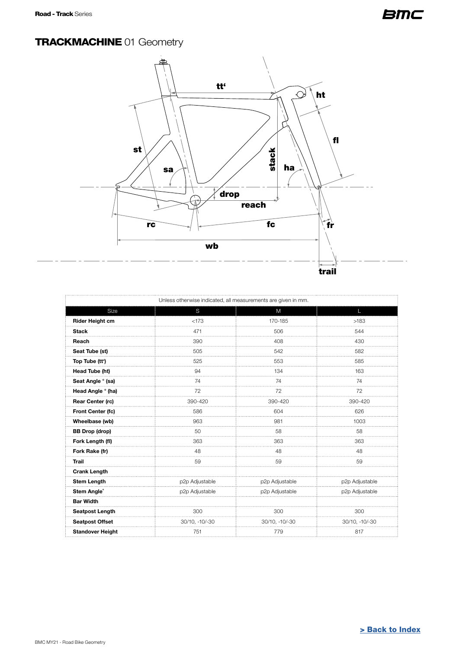### <span id="page-13-0"></span>**TRACKMACHINE 01 Geometry**



|                         | Unless otherwise indicated, all measurements are given in mm. |                |                |  |  |  |
|-------------------------|---------------------------------------------------------------|----------------|----------------|--|--|--|
| Size                    | S                                                             | M              | $\mathbf{L}$   |  |  |  |
| <b>Rider Height cm</b>  | < 173                                                         | 170-185        | >183           |  |  |  |
| <b>Stack</b>            | 471                                                           | 506            | 544            |  |  |  |
| Reach                   | 390                                                           | 408            | 430            |  |  |  |
| Seat Tube (st)          | 505                                                           | 542            | 582            |  |  |  |
| Top Tube (tt')          | 525                                                           | 553            | 585            |  |  |  |
| Head Tube (ht)          | 94                                                            | 134            | 163            |  |  |  |
| Seat Angle ° (sa)       | 74                                                            | 74             | 74             |  |  |  |
| Head Angle ° (ha)       | 72                                                            | 72             | 72             |  |  |  |
| <b>Rear Center (rc)</b> | 390-420                                                       | 390-420        | 390-420        |  |  |  |
| Front Center (fc)       | 586                                                           | 604            | 626            |  |  |  |
| Wheelbase (wb)          | 963                                                           | 981            | 1003           |  |  |  |
| <b>BB</b> Drop (drop)   | 50                                                            | 58             | 58             |  |  |  |
| Fork Length (fl)        | 363                                                           | 363            | 363            |  |  |  |
| Fork Rake (fr)          | 48                                                            | 48             | 48             |  |  |  |
| <b>Trail</b>            | 59                                                            | 59             | 59             |  |  |  |
| <b>Crank Length</b>     |                                                               |                |                |  |  |  |
| <b>Stem Length</b>      | p2p Adjustable                                                | p2p Adjustable | p2p Adjustable |  |  |  |
| Stem Angle®             | p2p Adjustable                                                | p2p Adjustable | p2p Adjustable |  |  |  |
| <b>Bar Width</b>        |                                                               |                |                |  |  |  |
| <b>Seatpost Length</b>  | 300                                                           | 300            | 300            |  |  |  |
| <b>Seatpost Offset</b>  | 30/10, -10/-30                                                | 30/10, -10/-30 | 30/10, -10/-30 |  |  |  |
| <b>Standover Height</b> | 751                                                           | 779            | 817            |  |  |  |